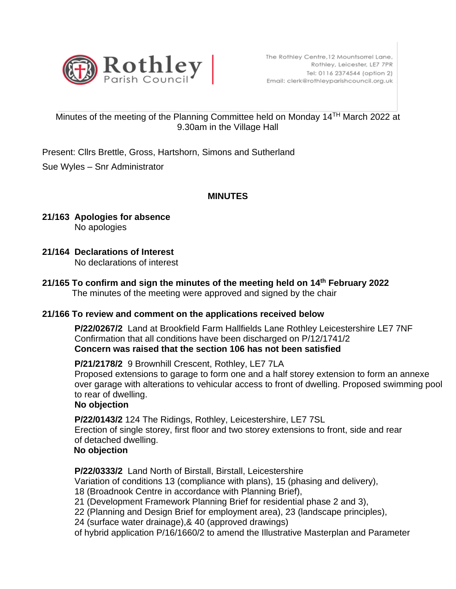

## Minutes of the meeting of the Planning Committee held on Monday 14TH March 2022 at 9.30am in the Village Hall

Present: Cllrs Brettle, Gross, Hartshorn, Simons and Sutherland

Sue Wyles – Snr Administrator

# **MINUTES**

- **21/163 Apologies for absence** No apologies
- **21/164 Declarations of Interest**  No declarations of interest
- **21/165 To confirm and sign the minutes of the meeting held on 14th February 2022** The minutes of the meeting were approved and signed by the chair

#### **21/166 To review and comment on the applications received below**

 **P/22/0267/2** Land at Brookfield Farm Hallfields Lane Rothley Leicestershire LE7 7NF Confirmation that all conditions have been discharged on P/12/1741/2 **Concern was raised that the section 106 has not been satisfied**

 **P/21/2178/2** 9 Brownhill Crescent, Rothley, LE7 7LA Proposed extensions to garage to form one and a half storey extension to form an annexe over garage with alterations to vehicular access to front of dwelling. Proposed swimming pool to rear of dwelling.

# **No objection**

 **P/22/0143/2** 124 The Ridings, Rothley, Leicestershire, LE7 7SL Erection of single storey, first floor and two storey extensions to front, side and rear of detached dwelling.

## **No objection**

**P/22/0333/2** Land North of Birstall, Birstall, Leicestershire

Variation of conditions 13 (compliance with plans), 15 (phasing and delivery),

18 (Broadnook Centre in accordance with Planning Brief),

21 (Development Framework Planning Brief for residential phase 2 and 3),

22 (Planning and Design Brief for employment area), 23 (landscape principles),

24 (surface water drainage),& 40 (approved drawings)

of hybrid application P/16/1660/2 to amend the Illustrative Masterplan and Parameter